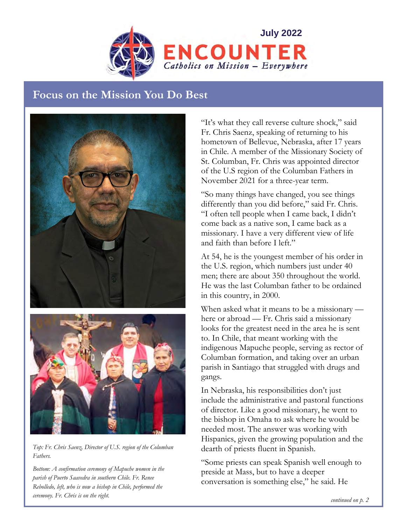

# **Focus on the Mission You Do Best**





*Top: Fr. Chris Saenz, Director of U.S. region of the Columban Fathers.* 

*Bottom: A confirmation ceremony of Mapuche women in the parish of Puerto Saavedra in southern Chile. Fr. Renee Rebolledo, left, who is now a bishop in Chile, performed the ceremony. Fr. Chris is on the right.* 

"It's what they call reverse culture shock," said Fr. Chris Saenz, speaking of returning to his hometown of Bellevue, Nebraska, after 17 years in Chile. A member of the Missionary Society of St. Columban, Fr. Chris was appointed director of the U.S region of the Columban Fathers in November 2021 for a three-year term.

"So many things have changed, you see things differently than you did before," said Fr. Chris. "I often tell people when I came back, I didn't come back as a native son, I came back as a missionary. I have a very different view of life and faith than before I left."

At 54, he is the youngest member of his order in the U.S. region, which numbers just under 40 men; there are about 350 throughout the world. He was the last Columban father to be ordained in this country, in 2000.

When asked what it means to be a missionary here or abroad — Fr. Chris said a missionary looks for the greatest need in the area he is sent to. In Chile, that meant working with the indigenous Mapuche people, serving as rector of Columban formation, and taking over an urban parish in Santiago that struggled with drugs and gangs.

In Nebraska, his responsibilities don't just include the administrative and pastoral functions of director. Like a good missionary, he went to the bishop in Omaha to ask where he would be needed most. The answer was working with Hispanics, given the growing population and the dearth of priests fluent in Spanish.

"Some priests can speak Spanish well enough to preside at Mass, but to have a deeper conversation is something else," he said. He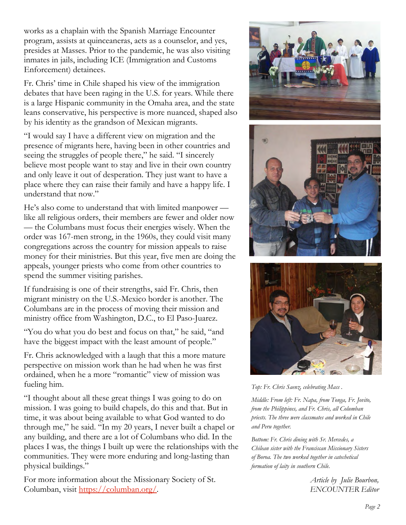works as a chaplain with the Spanish Marriage Encounter program, assists at quinceaneras, acts as a counselor, and yes, presides at Masses. Prior to the pandemic, he was also visiting inmates in jails, including ICE (Immigration and Customs Enforcement) detainees.

Fr. Chris' time in Chile shaped his view of the immigration debates that have been raging in the U.S. for years. While there is a large Hispanic community in the Omaha area, and the state leans conservative, his perspective is more nuanced, shaped also by his identity as the grandson of Mexican migrants.

"I would say I have a different view on migration and the presence of migrants here, having been in other countries and seeing the struggles of people there," he said. "I sincerely believe most people want to stay and live in their own country and only leave it out of desperation. They just want to have a place where they can raise their family and have a happy life. I understand that now."

He's also come to understand that with limited manpower like all religious orders, their members are fewer and older now — the Columbans must focus their energies wisely. When the order was 167-men strong, in the 1960s, they could visit many congregations across the country for mission appeals to raise money for their ministries. But this year, five men are doing the appeals, younger priests who come from other countries to spend the summer visiting parishes.

If fundraising is one of their strengths, said Fr. Chris, then migrant ministry on the U.S.-Mexico border is another. The Columbans are in the process of moving their mission and ministry office from Washington, D.C., to El Paso-Juarez.

"You do what you do best and focus on that," he said, "and have the biggest impact with the least amount of people."

Fr. Chris acknowledged with a laugh that this a more mature perspective on mission work than he had when he was first ordained, when he a more "romantic" view of mission was fueling him.

"I thought about all these great things I was going to do on mission. I was going to build chapels, do this and that. But in time, it was about being available to what God wanted to do through me," he said. "In my 20 years, I never built a chapel or any building, and there are a lot of Columbans who did. In the places I was, the things I built up were the relationships with the communities. They were more enduring and long-lasting than physical buildings."

For more information about the Missionary Society of St. Columban, visit https://columban.org/.







*Top: Fr. Chris Saenz, celebrating Mass .* 

*Middle: From left: Fr. Napa, from Tonga, Fr. Jovito, from the Philippines, and Fr. Chris, all Columban priests. The three were classmates and worked in Chile and Peru together.* 

*Bottom: Fr. Chris dining with Sr. Mercedes, a Chilean sister with the Franciscan Missionary Sisters of Boroa. The two worked together in catechetical formation of laity in southern Chile.*

> *Article by Julie Bourbon, ENCOUNTER Editor*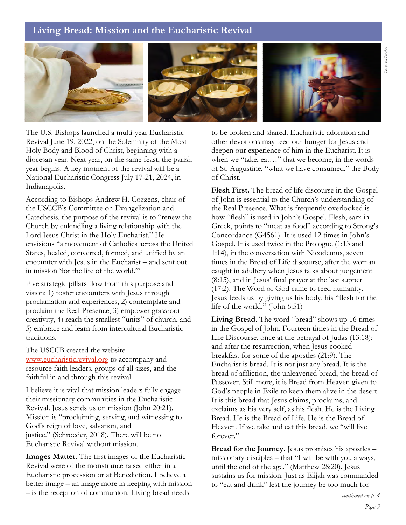## **Living Bread: Mission and the Eucharistic Revival**



The U.S. Bishops launched a multi-year Eucharistic Revival June 19, 2022, on the Solemnity of the Most Holy Body and Blood of Christ, beginning with a diocesan year. Next year, on the same feast, the parish year begins. A key moment of the revival will be a National Eucharistic Congress July 17-21, 2024, in Indianapolis.

According to Bishops Andrew H. Cozzens, chair of the USCCB's Committee on Evangelization and Catechesis, the purpose of the revival is to "renew the Church by enkindling a living relationship with the Lord Jesus Christ in the Holy Eucharist." He envisions "a movement of Catholics across the United States, healed, converted, formed, and unified by an encounter with Jesus in the Eucharist – and sent out in mission 'for the life of the world.'"

Five strategic pillars flow from this purpose and vision: 1) foster encounters with Jesus through proclamation and experiences, 2) contemplate and proclaim the Real Presence, 3) empower grassroot creativity, 4) reach the smallest "units" of church, and 5) embrace and learn from intercultural Eucharistic traditions.

The USCCB created the website www.eucharisticrevival.org to accompany and resource faith leaders, groups of all sizes, and the faithful in and through this revival.

I believe it is vital that mission leaders fully engage their missionary communities in the Eucharistic Revival. Jesus sends us on mission (John 20:21). Mission is "proclaiming, serving, and witnessing to God's reign of love, salvation, and justice." (Schroeder, 2018). There will be no Eucharistic Revival without mission.

**Images Matter.** The first images of the Eucharistic Revival were of the monstrance raised either in a Eucharistic procession or at Benediction. I believe a better image – an image more in keeping with mission – is the reception of communion. Living bread needs

to be broken and shared. Eucharistic adoration and other devotions may feed our hunger for Jesus and deepen our experience of him in the Eucharist. It is when we "take, eat…" that we become, in the words of St. Augustine, "what we have consumed," the Body of Christ.

**Flesh First.** The bread of life discourse in the Gospel of John is essential to the Church's understanding of the Real Presence. What is frequently overlooked is how "flesh" is used in John's Gospel. Flesh, sarx in Greek, points to "meat as food" according to Strong's Concordance (G4561). It is used 12 times in John's Gospel. It is used twice in the Prologue (1:13 and 1:14), in the conversation with Nicodemus, seven times in the Bread of Life discourse, after the woman caught in adultery when Jesus talks about judgement (8:15), and in Jesus' final prayer at the last supper (17:2). The Word of God came to feed humanity. Jesus feeds us by giving us his body, his "flesh for the life of the world." (John 6:51)

**Living Bread.** The word "bread" shows up 16 times in the Gospel of John. Fourteen times in the Bread of Life Discourse, once at the betrayal of Judas (13:18); and after the resurrection, when Jesus cooked breakfast for some of the apostles (21:9). The Eucharist is bread. It is not just any bread. It is the bread of affliction, the unleavened bread, the bread of Passover. Still more, it is Bread from Heaven given to God's people in Exile to keep them alive in the desert. It is this bread that Jesus claims, proclaims, and exclaims as his very self, as his flesh. He is the Living Bread. He is the Bread of Life. He is the Bread of Heaven. If we take and eat this bread, we "will live forever."

**Bread for the Journey.** Jesus promises his apostles – missionary-disciples – that "I will be with you always, until the end of the age." (Matthew 28:20). Jesus sustains us for mission. Just as Elijah was commanded to "eat and drink" lest the journey be too much for